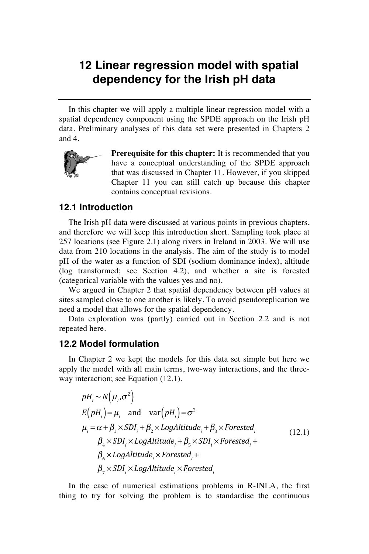## **12 Linear regression model with spatial dependency for the Irish pH data**

In this chapter we will apply a multiple linear regression model with a spatial dependency component using the SPDE approach on the Irish pH data. Preliminary analyses of this data set were presented in Chapters 2 and 4.



**Prerequisite for this chapter:** It is recommended that you have a conceptual understanding of the SPDE approach that was discussed in Chapter 11. However, if you skipped Chapter 11 you can still catch up because this chapter contains conceptual revisions.

## **12.1 Introduction**

The Irish pH data were discussed at various points in previous chapters, and therefore we will keep this introduction short. Sampling took place at 257 locations (see Figure 2.1) along rivers in Ireland in 2003. We will use data from 210 locations in the analysis. The aim of the study is to model pH of the water as a function of SDI (sodium dominance index), altitude (log transformed; see Section 4.2), and whether a site is forested (categorical variable with the values yes and no).

We argued in Chapter 2 that spatial dependency between pH values at sites sampled close to one another is likely. To avoid pseudoreplication we need a model that allows for the spatial dependency.

Data exploration was (partly) carried out in Section 2.2 and is not repeated here.

## **12.2 Model formulation**

In Chapter 2 we kept the models for this data set simple but here we apply the model with all main terms, two-way interactions, and the threeway interaction; see Equation (12.1).

$$
pH_i \sim N(\mu_i, \sigma^2)
$$
  
\n
$$
E(pH_i) = \mu_i \text{ and } \text{var}(pH_i) = \sigma^2
$$
  
\n
$$
\mu_i = \alpha + \beta_1 \times SDI_i + \beta_2 \times LogAltitude_i + \beta_3 \times Forested_i
$$
  
\n
$$
\beta_4 \times SDI_i \times LogAltitude_i + \beta_5 \times SDI_i \times Forested_i +
$$
  
\n
$$
\beta_6 \times LogAltitude_i \times Forested_i +
$$
  
\n
$$
\beta_7 \times SDI_i \times LogAltitude_i \times Forested_i
$$
 (12.1)

In the case of numerical estimations problems in R-INLA, the first thing to try for solving the problem is to standardise the continuous